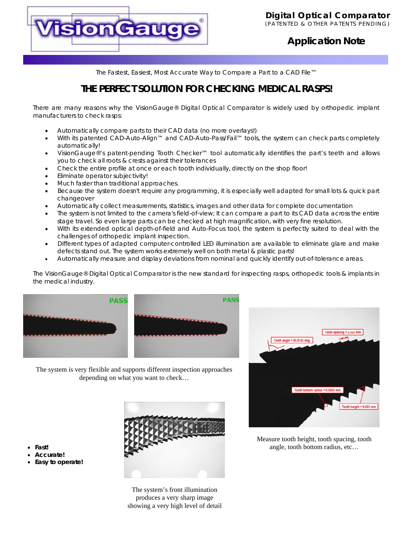

### **Application Note**

*The Fastest, Easiest, Most Accurate Way to Compare a Part to a CAD File™*

## **THE PERFECT SOLUTION FOR CHECKING MEDICAL RASPS!**

There are many reasons why the VisionGauge® Digital Optical Comparator is widely used by orthopedic implant manufacturers to check rasps:

- Automatically compare parts to their CAD data (no more overlays!)
- With its patented CAD-Auto-Align™ and CAD-Auto-Pass/Fail™ tools, the system can check parts completely automatically!
- VisionGauge®'s patent-pending Tooth Checker™ tool automatically identifies the part's teeth and allows you to check all roots & crests against their tolerances
- Check the entire profile at once or each tooth individually, directly on the shop floor!
- Eliminate operator subjectivity!
- Much faster than traditional approaches.
- Because the system doesn't require any programming, it is especially well adapted for small lots & quick part changeover
- Automatically collect measurements, statistics, images and other data for complete documentation
- The system is not limited to the camera's field-of-view; It can compare a part to its CAD data across the entire stage travel. So even large parts can be checked at high magnification, with very fine resolution.
- With its extended optical depth-of-field and Auto-Focus tool, the system is perfectly suited to deal with the challenges of orthopedic implant inspection.
- Different types of adapted computer-controlled LED illumination are available to eliminate glare and make defects stand out. The system works extremely well on both metal & plastic parts!
- Automatically measure and display deviations from nominal and quickly identify out-of-tolerance areas.

The VisionGauge® Digital Optical Comparator is the new standard for inspecting rasps, orthopedic tools & implants in the medical industry.



The system is very flexible and supports different inspection approaches depending on what you want to check…



The system's front illumination produces a very sharp image showing a very high level of detail



Measure tooth height, tooth spacing, tooth angle, tooth bottom radius, etc…

- **Fast!**
- **Accurate!**
- **Easy to operate!**